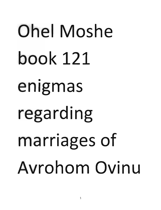## Ohel Moshe book 121 enigmas regarding marriages of Avrohom Ovinu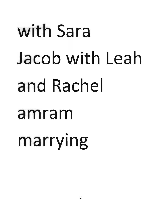## with Sara Jacob with Leah and Rachel amram marrying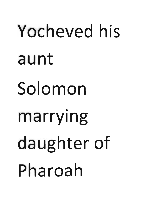## Yocheved his aunt Solomon marrying daughter of Pharoah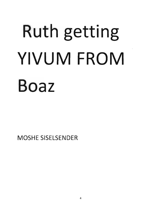## Ruth getting YIVUM FROM **Boaz**

**MOSHE SISELSENDER**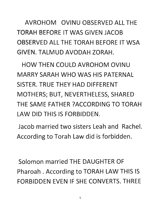AVROHOM OVINU OBSERVED ALL THE TORAH BEFORE IT WAS GIVEN JACOB OBSERVED ALL THE TORAH BEFORE IT WSA GIVEN. TALMUD AVODAH ZORAH.

HOW THEN COULD AVROHOM OVINU MARRY SARAH WHO WAS HIS PATERNAL SISTER. TRUE THEY HAD DIFFERENT MOTHERS; BUT, NEVERTHELESS, SHARED THE SAME FATHER ?ACCORDING TO TORAH LAW DID THIS IS FORBIDDEN.

Jacob married two sisters Leah and Rachel. According to Torah Law did is forbidden.

Solomon married THE DAUGHTER OF Pharoah . According to TORAH LAW THIS IS FORBIDDEN EVEN IF SHE CONVERTS. THREE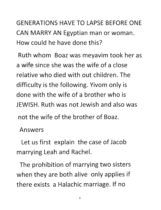GENERATIONS HAVE TO LAPSE BEFORE ONE CAN MARRY AN Egyptian man or woman. How could he have done this?

Ruth whom Boaz was meyavim took her as a wife since she was the wife of a close relative who died with out children. The difficulty is the following. Yivom only is done with the wife of a brother who is JEWISH. Ruth was not Jewish and also was not the wife of the brother of Boaz.

Answers

Let us first explain the case of Jacob marrying Leah and Rachel.

The prohibition of marrying two sisters when they are both alive only applies if there exists a Halachic marriage. If no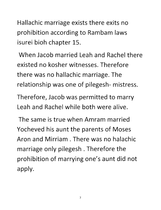Hallachic marriage exists there exits no prohibition according to Rambam laws isurei bioh chapter 15.

When Jacob married Leah and Rachel there existed no kosher witnesses. Therefore there was no hallachic marriage. The relationship was one of pilegesh- mistress.

Therefore, Jacob was permitted to marry Leah and Rachel while both were alive.

The same is true when Amram married Yocheved his aunt the parents of Moses Aron and Mirriam . There was no halachic marriage only pilegesh . Therefore the prohibition of marrying one's aunt did not apply.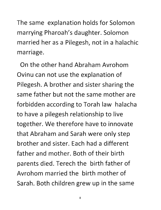The same explanation holds for Solomon marrying Pharoah's daughter. Solomon married her as a Pilegesh, not in a halachic<br>marriage.

On the other hand Abraham Avrohom Ovinu can not use the explanation of Pilegesh. A brother and sister sharing the same father but not the same mother are forbidden according to Torah law halacha to have a pilegesh relationship to live together. We therefore have to innovate that Abraham and Sarah were only step brother and sister. Each had a different father and mother. Both of their birth parents died. Terech the birth father of Avrohom married the birth mother of Sarah. Both children grew up in the same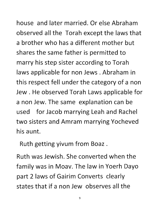house and later married. Or else Abraham observed all the Torah except the laws that a brother who has a different mother but shares the same father is permitted to marry his step sister according to Torah laws applicable for non Jews. Abraham in this respect fell under the category of a non Jew. He observed Torah Laws applicable for a non Jew. The same explanation can be used for Jacob marrying Leah and Rachel two sisters and Amram marrying Yocheved his aunt.

Ruth getting yivum from Boaz .

Ruth was Jewish. She converted when the family was in Moav. The law in Yoerh Dayo part 2 laws of Gairim Converts clearly states that if a non Jew observes all the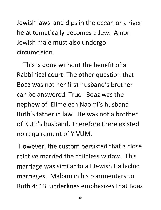Jewish laws and dips in the ocean or a river he automatically becomes a Jew. A non Jewish male must also undergo circumcision.

This is done without the benefit of a Rabbinical court. The other question that Boaz was not her first husband's brother can be answered. True Boaz was the nephew of Elimelech Naomi's husband Ruth's father in law. He was not a brother of Ruth's husband. Therefore there existed no requirement of VIVUM.

However, the custom persisted that a close relative married the childless widow. This marriage was similar to all Jewish Hallachic marriages. Malbim in his commentary to Ruth 4: 13 underlines emphasizes that Boaz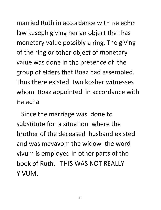married Ruth in accordance with Halachic law keseph giving her an object that has monetary value possibly a ring. The giving of the ring or other object of monetary value was done in the presence of the group of elders that Boaz had assembled. Thus there existed two kosher witnesses whom Boaz appointed in accordance with Halacha.

Since the marriage was done to substitute for a situation where the brother of the deceased husband existed and was meyavom the widow the word yivum is employed in other parts of the book of Ruth. THIS WAS NOT REALLY VIVUM.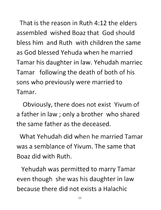That is the reason in Ruth 4:12 the elders assembled wished Boaz that God should bless him and Ruth with children the same as God blessed Yehuda when he married Tamar his daughter in law. Yehudah marriec Tamar following the death of both of his sons who previously were married to Tamar.

Obviously, there does not exist Vivum of a father in law; only a brother who shared the same father as the deceased.

What Yehudah did when he married Tamar was a semblance of Vivum. The same that Boaz did with Ruth.

Yehudah was permitted to marry Tamar even though she was his daughter in law because there did not exists a Halachic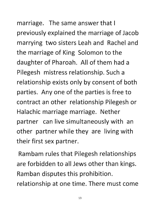marriage. The same answer that I previously explained the marriage of Jacob marrying two sisters Leah and Rachel and the marriage of King Solomon to the daughter of Pharoah. All of them had a Pilegesh mistress relationship. Such a relationship exists only by consent of both parties. Anyone of the parties is free to contract an other relationship Pilegesh or

Halachic marriage marriage. Nether partner can live simultaneously with an other partner while they are living with their first sex partner.

Rambam rules that Pilegesh relationships are forbidden to all Jews other than kings. Ramban disputes this prohibition. relationship at one time. There must come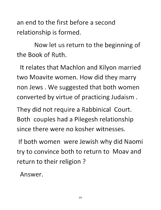an end to the first before a second relationship is formed.

Now let us return to the beginning of the Book of Ruth.

It relates that Machlon and Kilyon married two Moavite women. How did they marry non Jews. We suggested that both women converted by virtue of practicing Judaism.

They did not require a Rabbinical Court. Both couples had a Pilegesh relationship since there were no kosher witnesses.

If both women were Jewish why did Naomi try to convince both to return to Moavand return to their religion?

Answer.